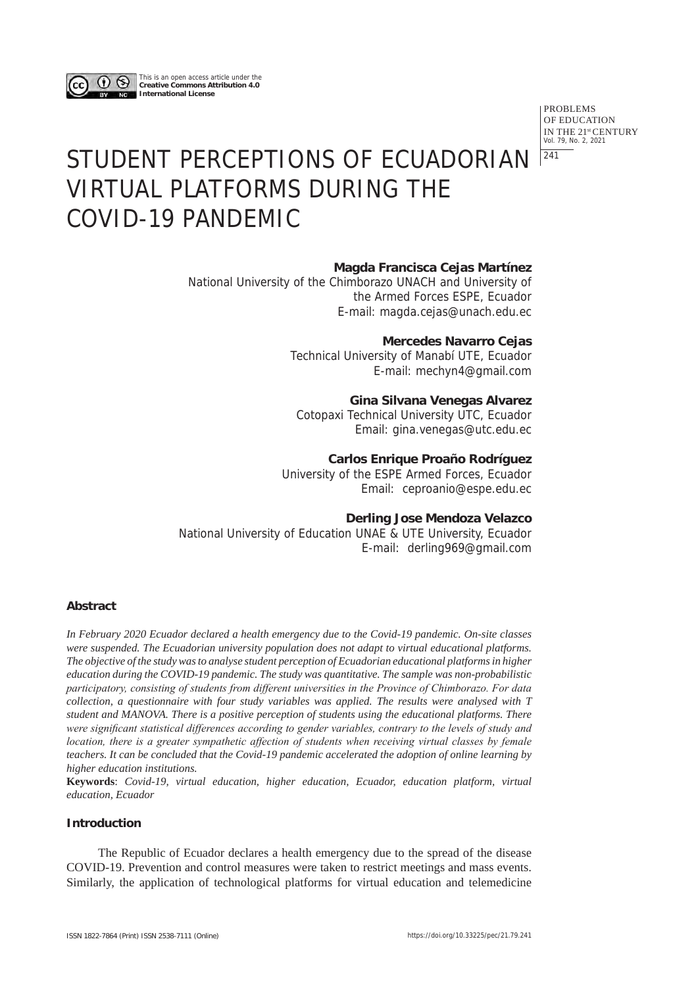

This is an open access article under the **Creative Commons Attribution 4.0 International License**

> PROBLEMS OF EDUCATION IN THE 21st CENTURY Vol. 79, No. 2, 2021  $|241$

# STUDENT PERCEPTIONS OF ECUADORIAN VIRTUAL PLATFORMS DURING THE COVID-19 PANDEMIC

# **Magda Francisca Cejas Martínez**

National University of the Chimborazo UNACH and University of the Armed Forces ESPE, Ecuador E-mail: magda.cejas@unach.edu.ec

# **Mercedes Navarro Cejas**

Technical University of Manabí UTE, Ecuador E-mail: mechyn4@gmail.com

# **Gina Silvana Venegas Alvarez**

Cotopaxi Technical University UTC, Ecuador Email: gina.venegas@utc.edu.ec

## **Carlos Enrique Proaño Rodríguez**

University of the ESPE Armed Forces, Ecuador Email: ceproanio@espe.edu.ec

## **Derling Jose Mendoza Velazco**

National University of Education UNAE & UTE University, Ecuador E-mail: derling969@gmail.com

## **Abstract**

*In February 2020 Ecuador declared a health emergency due to the Covid-19 pandemic. On-site classes were suspended. The Ecuadorian university population does not adapt to virtual educational platforms. The objective of the study was to analyse student perception of Ecuadorian educational platforms in higher education during the COVID-19 pandemic. The study was quantitative. The sample was non-probabilistic participatory, consisting of students from different universities in the Province of Chimborazo. For data collection, a questionnaire with four study variables was applied. The results were analysed with T student and MANOVA. There is a positive perception of students using the educational platforms. There were significant statistical differences according to gender variables, contrary to the levels of study and location, there is a greater sympathetic affection of students when receiving virtual classes by female teachers. It can be concluded that the Covid-19 pandemic accelerated the adoption of online learning by higher education institutions.* 

**Keywords**: *Covid-19, virtual education, higher education, Ecuador, education platform, virtual education, Ecuador*

# **Introduction**

The Republic of Ecuador declares a health emergency due to the spread of the disease COVID-19. Prevention and control measures were taken to restrict meetings and mass events. Similarly, the application of technological platforms for virtual education and telemedicine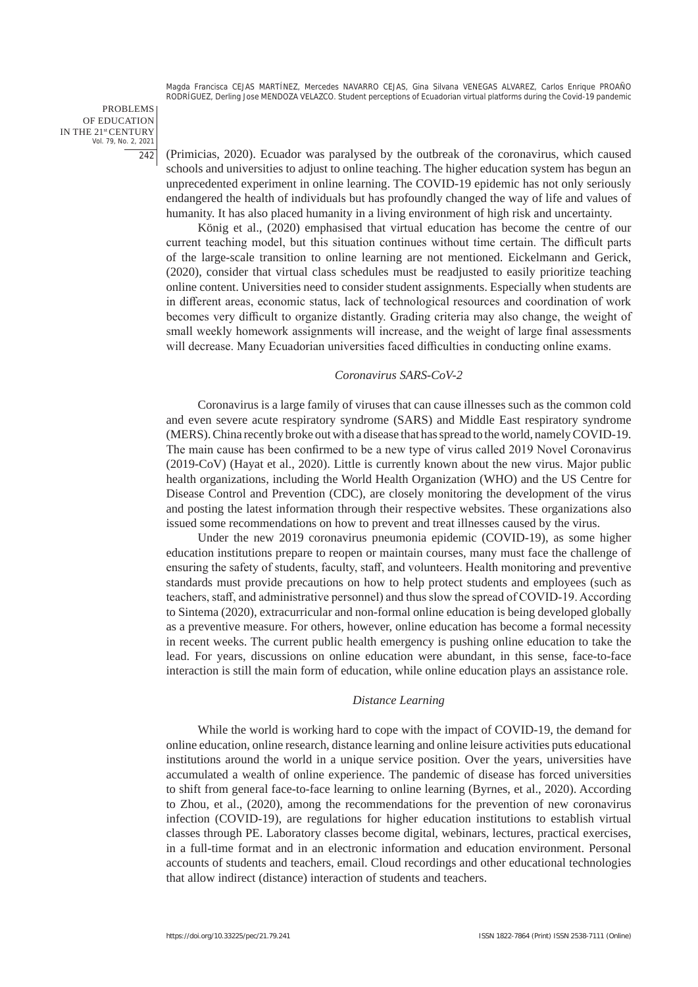PROBLEMS OF EDUCATION IN THE 21st CENTURY Vol. 79, No. 2, 2021 242

(Primicias, 2020). Ecuador was paralysed by the outbreak of the coronavirus, which caused schools and universities to adjust to online teaching. The higher education system has begun an unprecedented experiment in online learning. The COVID-19 epidemic has not only seriously endangered the health of individuals but has profoundly changed the way of life and values of humanity. It has also placed humanity in a living environment of high risk and uncertainty.

König et al., (2020) emphasised that virtual education has become the centre of our current teaching model, but this situation continues without time certain. The difficult parts of the large-scale transition to online learning are not mentioned. Eickelmann and Gerick, (2020), consider that virtual class schedules must be readjusted to easily prioritize teaching online content. Universities need to consider student assignments. Especially when students are in different areas, economic status, lack of technological resources and coordination of work becomes very difficult to organize distantly. Grading criteria may also change, the weight of small weekly homework assignments will increase, and the weight of large final assessments will decrease. Many Ecuadorian universities faced difficulties in conducting online exams.

#### *Coronavirus SARS-CoV-2*

Coronavirus is a large family of viruses that can cause illnesses such as the common cold and even severe acute respiratory syndrome (SARS) and Middle East respiratory syndrome (MERS). China recently broke out with a disease that has spread to the world, namely COVID-19. The main cause has been confirmed to be a new type of virus called 2019 Novel Coronavirus (2019-CoV) (Hayat et al., 2020). Little is currently known about the new virus. Major public health organizations, including the World Health Organization (WHO) and the US Centre for Disease Control and Prevention (CDC), are closely monitoring the development of the virus and posting the latest information through their respective websites. These organizations also issued some recommendations on how to prevent and treat illnesses caused by the virus.

Under the new 2019 coronavirus pneumonia epidemic (COVID-19), as some higher education institutions prepare to reopen or maintain courses, many must face the challenge of ensuring the safety of students, faculty, staff, and volunteers. Health monitoring and preventive standards must provide precautions on how to help protect students and employees (such as teachers, staff, and administrative personnel) and thus slow the spread of COVID-19. According to Sintema (2020), extracurricular and non-formal online education is being developed globally as a preventive measure. For others, however, online education has become a formal necessity in recent weeks. The current public health emergency is pushing online education to take the lead. For years, discussions on online education were abundant, in this sense, face-to-face interaction is still the main form of education, while online education plays an assistance role.

#### *Distance Learning*

While the world is working hard to cope with the impact of COVID-19, the demand for online education, online research, distance learning and online leisure activities puts educational institutions around the world in a unique service position. Over the years, universities have accumulated a wealth of online experience. The pandemic of disease has forced universities to shift from general face-to-face learning to online learning (Byrnes, et al., 2020). According to Zhou, et al., (2020), among the recommendations for the prevention of new coronavirus infection (COVID-19), are regulations for higher education institutions to establish virtual classes through PE. Laboratory classes become digital, webinars, lectures, practical exercises, in a full-time format and in an electronic information and education environment. Personal accounts of students and teachers, email. Cloud recordings and other educational technologies that allow indirect (distance) interaction of students and teachers.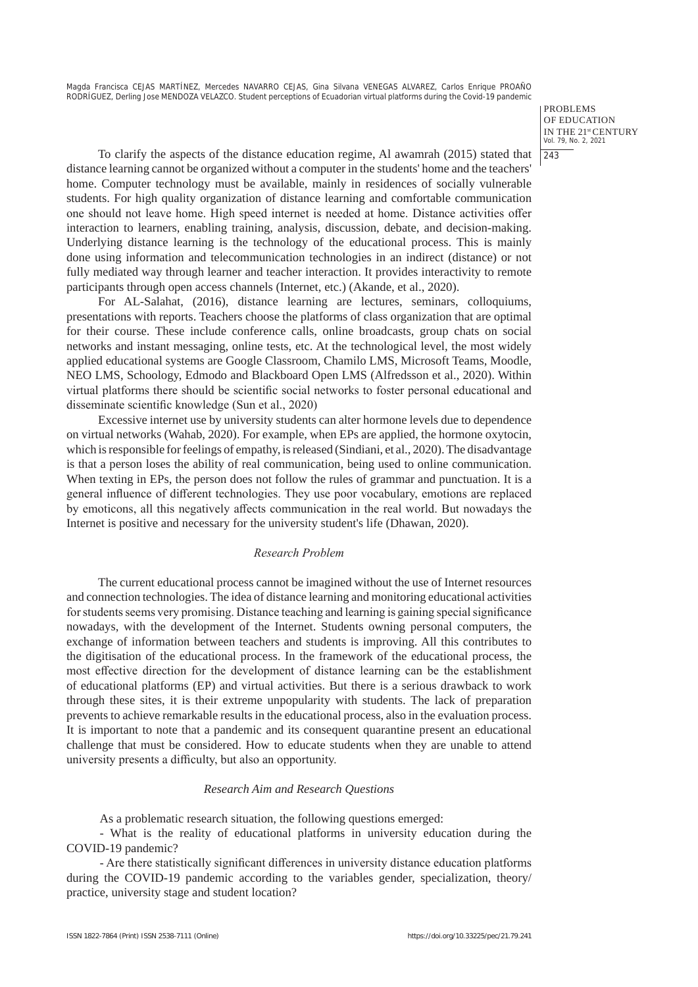> PROBLEMS OF EDUCATION IN THE 21st CENTURY Vol. 79, No. 2, 2021  $|243$

To clarify the aspects of the distance education regime, Al awamrah (2015) stated that distance learning cannot be organized without a computer in the students' home and the teachers' home. Computer technology must be available, mainly in residences of socially vulnerable students. For high quality organization of distance learning and comfortable communication one should not leave home. High speed internet is needed at home. Distance activities offer interaction to learners, enabling training, analysis, discussion, debate, and decision-making. Underlying distance learning is the technology of the educational process. This is mainly done using information and telecommunication technologies in an indirect (distance) or not fully mediated way through learner and teacher interaction. It provides interactivity to remote participants through open access channels (Internet, etc.) (Akande, et al., 2020).

For AL-Salahat, (2016), distance learning are lectures, seminars, colloquiums, presentations with reports. Teachers choose the platforms of class organization that are optimal for their course. These include conference calls, online broadcasts, group chats on social networks and instant messaging, online tests, etc. At the technological level, the most widely applied educational systems are Google Classroom, Chamilo LMS, Microsoft Teams, Moodle, NEO LMS, Schoology, Edmodo and Blackboard Open LMS (Alfredsson et al., 2020). Within virtual platforms there should be scientific social networks to foster personal educational and disseminate scientific knowledge (Sun et al., 2020)

Excessive internet use by university students can alter hormone levels due to dependence on virtual networks (Wahab, 2020). For example, when EPs are applied, the hormone oxytocin, which is responsible for feelings of empathy, is released (Sindiani, et al., 2020). The disadvantage is that a person loses the ability of real communication, being used to online communication. When texting in EPs, the person does not follow the rules of grammar and punctuation. It is a general influence of different technologies. They use poor vocabulary, emotions are replaced by emoticons, all this negatively affects communication in the real world. But nowadays the Internet is positive and necessary for the university student's life (Dhawan, 2020).

# *Research Problem*

The current educational process cannot be imagined without the use of Internet resources and connection technologies. The idea of distance learning and monitoring educational activities for students seems very promising. Distance teaching and learning is gaining special significance nowadays, with the development of the Internet. Students owning personal computers, the exchange of information between teachers and students is improving. All this contributes to the digitisation of the educational process. In the framework of the educational process, the most effective direction for the development of distance learning can be the establishment of educational platforms (EP) and virtual activities. But there is a serious drawback to work through these sites, it is their extreme unpopularity with students. The lack of preparation prevents to achieve remarkable results in the educational process, also in the evaluation process. It is important to note that a pandemic and its consequent quarantine present an educational challenge that must be considered. How to educate students when they are unable to attend university presents a difficulty, but also an opportunity.

#### *Research Aim and Research Questions*

As a problematic research situation, the following questions emerged:

- What is the reality of educational platforms in university education during the COVID-19 pandemic?

- Are there statistically significant differences in university distance education platforms during the COVID-19 pandemic according to the variables gender, specialization, theory/ practice, university stage and student location?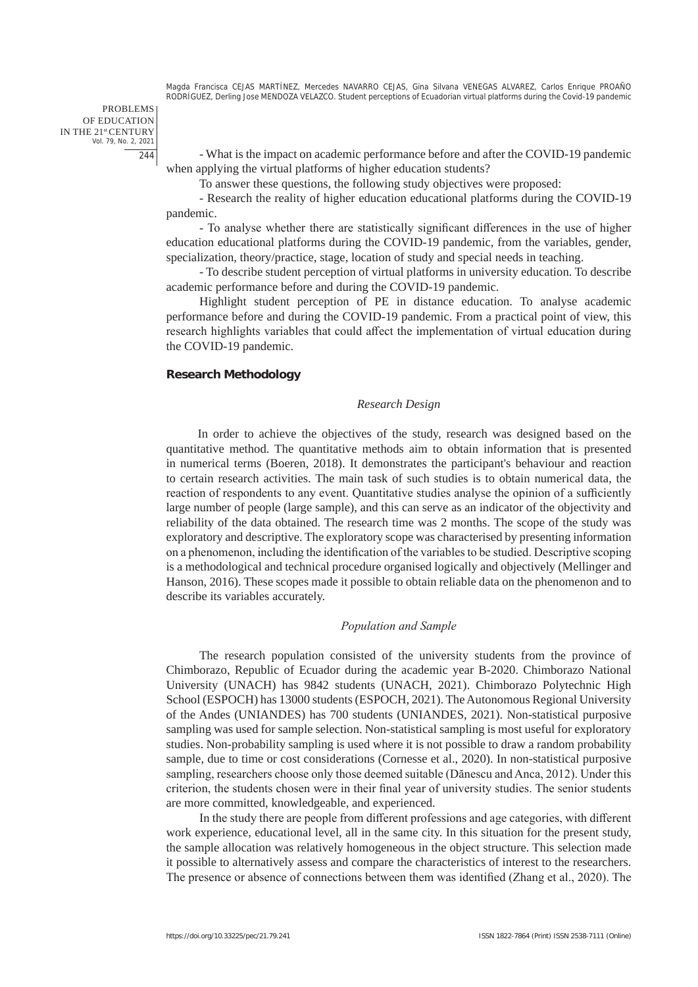PROBLEMS OF EDUCATION IN THE 21st CENTURY Vol. 79, No. 2, 2021 244

- What is the impact on academic performance before and after the COVID-19 pandemic when applying the virtual platforms of higher education students?

To answer these questions, the following study objectives were proposed:

- Research the reality of higher education educational platforms during the COVID-19 pandemic.

- To analyse whether there are statistically significant differences in the use of higher education educational platforms during the COVID-19 pandemic, from the variables, gender, specialization, theory/practice, stage, location of study and special needs in teaching.

- To describe student perception of virtual platforms in university education. To describe academic performance before and during the COVID-19 pandemic.

Highlight student perception of PE in distance education. To analyse academic performance before and during the COVID-19 pandemic. From a practical point of view, this research highlights variables that could affect the implementation of virtual education during the COVID-19 pandemic.

#### **Research Methodology**

#### *Research Design*

In order to achieve the objectives of the study, research was designed based on the quantitative method. The quantitative methods aim to obtain information that is presented in numerical terms (Boeren, 2018). It demonstrates the participant's behaviour and reaction to certain research activities. The main task of such studies is to obtain numerical data, the reaction of respondents to any event. Quantitative studies analyse the opinion of a sufficiently large number of people (large sample), and this can serve as an indicator of the objectivity and reliability of the data obtained. The research time was 2 months. The scope of the study was exploratory and descriptive. The exploratory scope was characterised by presenting information on a phenomenon, including the identification of the variables to be studied. Descriptive scoping is a methodological and technical procedure organised logically and objectively (Mellinger and Hanson, 2016). These scopes made it possible to obtain reliable data on the phenomenon and to describe its variables accurately.

### *Population and Sample*

The research population consisted of the university students from the province of Chimborazo, Republic of Ecuador during the academic year B-2020. Chimborazo National University (UNACH) has 9842 students (UNACH, 2021). Chimborazo Polytechnic High School (ESPOCH) has 13000 students (ESPOCH, 2021). The Autonomous Regional University of the Andes (UNIANDES) has 700 students (UNIANDES, 2021). Non-statistical purposive sampling was used for sample selection. Non-statistical sampling is most useful for exploratory studies. Non-probability sampling is used where it is not possible to draw a random probability sample, due to time or cost considerations (Cornesse et al., 2020). In non-statistical purposive sampling, researchers choose only those deemed suitable (Dănescu and Anca, 2012). Under this criterion, the students chosen were in their final year of university studies. The senior students are more committed, knowledgeable, and experienced.

In the study there are people from different professions and age categories, with different work experience, educational level, all in the same city. In this situation for the present study, the sample allocation was relatively homogeneous in the object structure. This selection made it possible to alternatively assess and compare the characteristics of interest to the researchers. The presence or absence of connections between them was identified (Zhang et al., 2020). The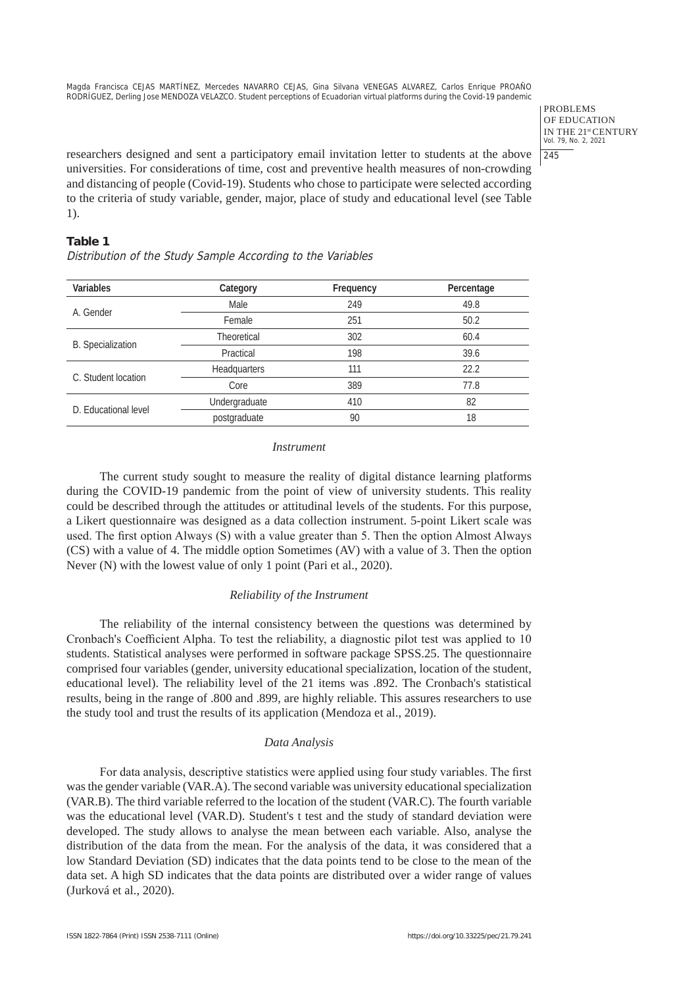> PROBLEMS OF EDUCATION IN THE 21st CENTURY Vol. 79, No. 2, 2021 245

researchers designed and sent a participatory email invitation letter to students at the above universities. For considerations of time, cost and preventive health measures of non-crowding and distancing of people (Covid-19). Students who chose to participate were selected according to the criteria of study variable, gender, major, place of study and educational level (see Table 1).

# **Table 1**

Distribution of the Study Sample According to the Variables

| Variables                | Category      | Frequency | Percentage |
|--------------------------|---------------|-----------|------------|
| A. Gender                | Male          | 249       | 49.8       |
|                          | Female        | 251       | 50.2       |
|                          | Theoretical   | 302       | 60.4       |
| <b>B.</b> Specialization | Practical     | 198       | 39.6       |
| C. Student location      | Headquarters  | 111       | 22.2       |
|                          | Core          | 389       | 77.8       |
| D. Educational level     | Undergraduate | 410       | 82         |
|                          | postgraduate  | 90        | 18         |

#### *Instrument*

The current study sought to measure the reality of digital distance learning platforms during the COVID-19 pandemic from the point of view of university students. This reality could be described through the attitudes or attitudinal levels of the students. For this purpose, a Likert questionnaire was designed as a data collection instrument. 5-point Likert scale was used. The first option Always (S) with a value greater than 5. Then the option Almost Always (CS) with a value of 4. The middle option Sometimes (AV) with a value of 3. Then the option Never (N) with the lowest value of only 1 point (Pari et al., 2020).

# *Reliability of the Instrument*

The reliability of the internal consistency between the questions was determined by Cronbach's Coefficient Alpha. To test the reliability, a diagnostic pilot test was applied to 10 students. Statistical analyses were performed in software package SPSS.25. The questionnaire comprised four variables (gender, university educational specialization, location of the student, educational level). The reliability level of the 21 items was .892. The Cronbach's statistical results, being in the range of .800 and .899, are highly reliable. This assures researchers to use the study tool and trust the results of its application (Mendoza et al., 2019).

#### *Data Analysis*

For data analysis, descriptive statistics were applied using four study variables. The first was the gender variable (VAR.A). The second variable was university educational specialization (VAR.B). The third variable referred to the location of the student (VAR.C). The fourth variable was the educational level (VAR.D). Student's t test and the study of standard deviation were developed. The study allows to analyse the mean between each variable. Also, analyse the distribution of the data from the mean. For the analysis of the data, it was considered that a low Standard Deviation (SD) indicates that the data points tend to be close to the mean of the data set. A high SD indicates that the data points are distributed over a wider range of values (Jurková et al., 2020).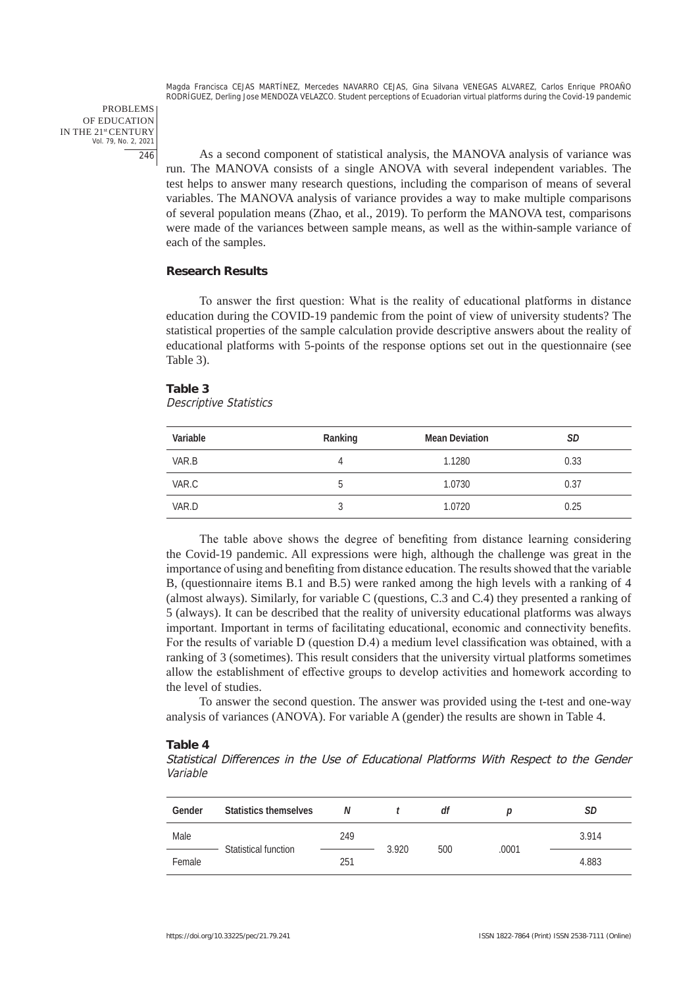PROBLEMS OF EDUCATION IN THE 21st CENTURY Vol. 79, No. 2, 2021 246

As a second component of statistical analysis, the MANOVA analysis of variance was run. The MANOVA consists of a single ANOVA with several independent variables. The test helps to answer many research questions, including the comparison of means of several variables. The MANOVA analysis of variance provides a way to make multiple comparisons of several population means (Zhao, et al., 2019). To perform the MANOVA test, comparisons were made of the variances between sample means, as well as the within-sample variance of each of the samples.

#### **Research Results**

To answer the first question: What is the reality of educational platforms in distance education during the COVID-19 pandemic from the point of view of university students? The statistical properties of the sample calculation provide descriptive answers about the reality of educational platforms with 5-points of the response options set out in the questionnaire (see Table 3).

#### **Table 3**

#### Descriptive Statistics

| Variable | Ranking | <b>Mean Deviation</b> | SD   |
|----------|---------|-----------------------|------|
| VAR.B    | Д       | 1.1280                | 0.33 |
| VAR.C    | b       | 1.0730                | 0.37 |
| VAR.D    |         | 1.0720                | 0.25 |

The table above shows the degree of benefiting from distance learning considering the Covid-19 pandemic. All expressions were high, although the challenge was great in the importance of using and benefiting from distance education. The results showed that the variable B, (questionnaire items B.1 and B.5) were ranked among the high levels with a ranking of 4 (almost always). Similarly, for variable C (questions, C.3 and C.4) they presented a ranking of 5 (always). It can be described that the reality of university educational platforms was always important. Important in terms of facilitating educational, economic and connectivity benefits. For the results of variable D (question D.4) a medium level classification was obtained, with a ranking of 3 (sometimes). This result considers that the university virtual platforms sometimes allow the establishment of effective groups to develop activities and homework according to the level of studies.

To answer the second question. The answer was provided using the t-test and one-way analysis of variances (ANOVA). For variable A (gender) the results are shown in Table 4.

#### **Table 4**

Statistical Differences in the Use of Educational Platforms With Respect to the Gender Variable

| Gender | <b>Statistics themselves</b> | N   |       | dt  |       | SD    |
|--------|------------------------------|-----|-------|-----|-------|-------|
| Male   | Statistical function         | 249 |       |     | .0001 | 3.914 |
| Female |                              | 251 | 3.920 | 500 |       | 4.883 |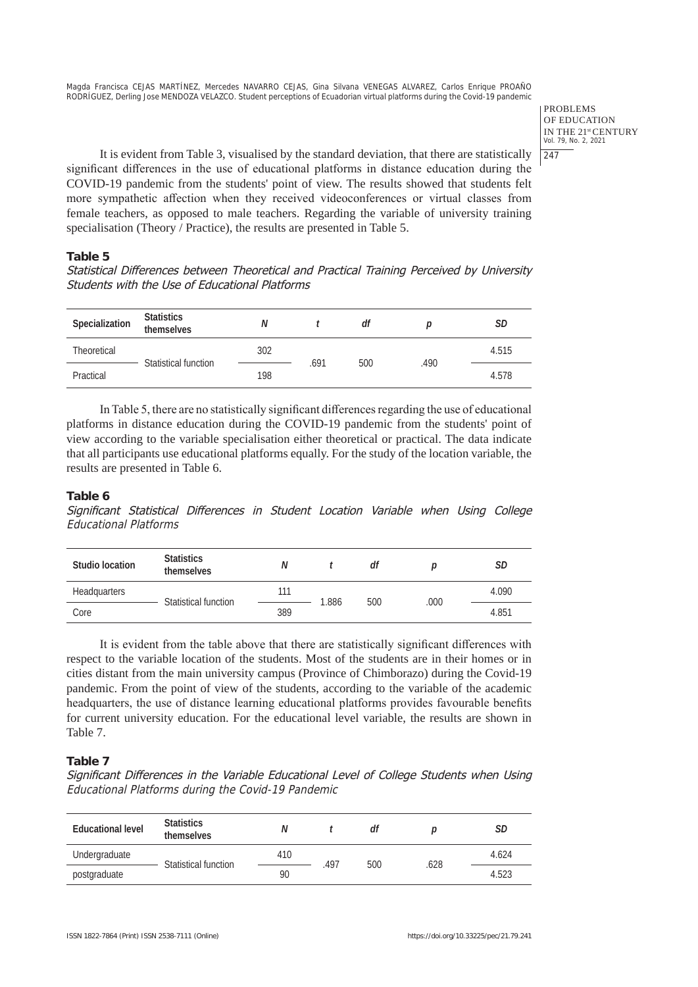> PROBLEMS OF EDUCATION IN THE 21st CENTURY Vol. 79, No. 2, 2021  $247$

It is evident from Table 3, visualised by the standard deviation, that there are statistically significant differences in the use of educational platforms in distance education during the COVID-19 pandemic from the students' point of view. The results showed that students felt more sympathetic affection when they received videoconferences or virtual classes from female teachers, as opposed to male teachers. Regarding the variable of university training specialisation (Theory / Practice), the results are presented in Table 5.

## **Table 5**

Statistical Differences between Theoretical and Practical Training Perceived by University Students with the Use of Educational Platforms

| Specialization     | <b>Statistics</b><br>themselves | N   |      | df  |      | SD    |
|--------------------|---------------------------------|-----|------|-----|------|-------|
| <b>Theoretical</b> | Statistical function            | 302 |      |     |      | 4.515 |
| Practical          |                                 | 198 | .691 | 500 | .490 | 4.578 |

In Table 5, there are no statistically significant differences regarding the use of educational platforms in distance education during the COVID-19 pandemic from the students' point of view according to the variable specialisation either theoretical or practical. The data indicate that all participants use educational platforms equally. For the study of the location variable, the results are presented in Table 6.

## **Table 6**

Significant Statistical Differences in Student Location Variable when Using College Educational Platforms

| Studio location     | <b>Statistics</b><br>themselves | N   |       | df  |      | SD    |
|---------------------|---------------------------------|-----|-------|-----|------|-------|
| <b>Headquarters</b> |                                 | 111 |       | 500 | .000 | 4.090 |
| Core                | Statistical function            |     | 1.886 |     |      | 4.851 |

It is evident from the table above that there are statistically significant differences with respect to the variable location of the students. Most of the students are in their homes or in cities distant from the main university campus (Province of Chimborazo) during the Covid-19 pandemic. From the point of view of the students, according to the variable of the academic headquarters, the use of distance learning educational platforms provides favourable benefits for current university education. For the educational level variable, the results are shown in Table 7.

# **Table 7**

Significant Differences in the Variable Educational Level of College Students when Using Educational Platforms during the Covid-19 Pandemic

| <b>Educational level</b> | <b>Statistics</b><br>themselves | Ν   |      | df  |      | SD    |
|--------------------------|---------------------------------|-----|------|-----|------|-------|
| Undergraduate            | Statistical function            | 410 | .497 | 500 | .628 | 4.624 |
| postgraduate             |                                 |     |      |     |      | 4.523 |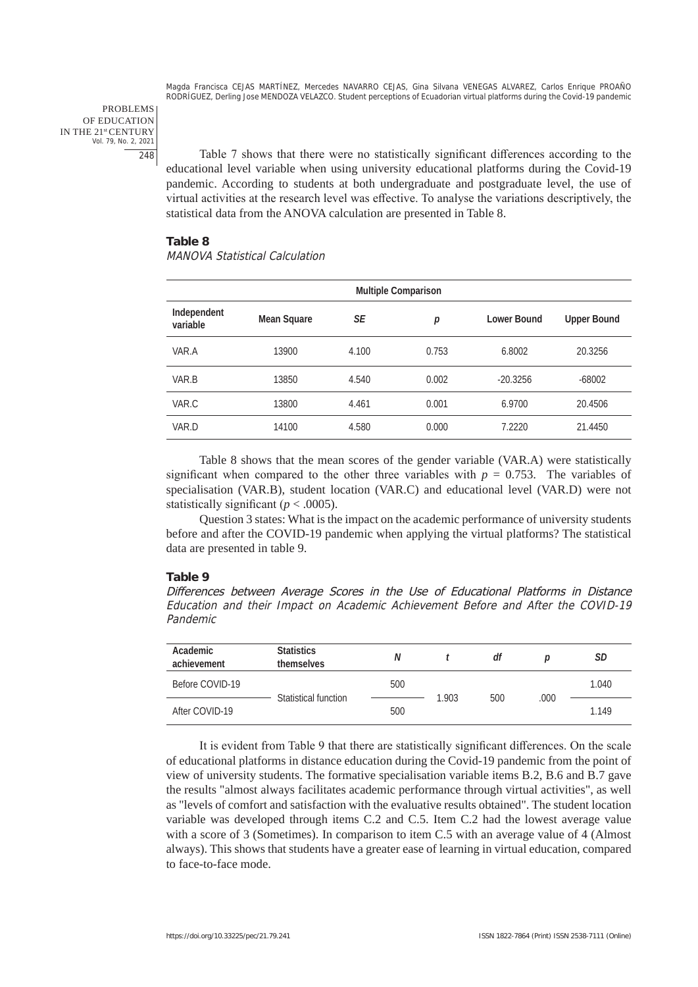PROBLEMS OF EDUCATION IN THE 21st CENTURY Vol. 79, No. 2, 2021 248

Table 7 shows that there were no statistically significant differences according to the educational level variable when using university educational platforms during the Covid-19 pandemic. According to students at both undergraduate and postgraduate level, the use of virtual activities at the research level was effective. To analyse the variations descriptively, the statistical data from the ANOVA calculation are presented in Table 8.

#### **Table 8**

# MANOVA Statistical Calculation

| <b>Multiple Comparison</b> |             |       |       |                    |                    |
|----------------------------|-------------|-------|-------|--------------------|--------------------|
| Independent<br>variable    | Mean Square | SE    | р     | <b>Lower Bound</b> | <b>Upper Bound</b> |
| VAR.A                      | 13900       | 4.100 | 0.753 | 6.8002             | 20.3256            |
| VAR.B                      | 13850       | 4.540 | 0.002 | $-20.3256$         | $-68002$           |
| VAR.C                      | 13800       | 4.461 | 0.001 | 6.9700             | 20.4506            |
| VAR.D                      | 14100       | 4.580 | 0.000 | 7.2220             | 21.4450            |

Table 8 shows that the mean scores of the gender variable (VAR.A) were statistically significant when compared to the other three variables with  $p = 0.753$ . The variables of specialisation (VAR.B), student location (VAR.C) and educational level (VAR.D) were not statistically significant ( $p < .0005$ ).

Question 3 states: What is the impact on the academic performance of university students before and after the COVID-19 pandemic when applying the virtual platforms? The statistical data are presented in table 9.

#### **Table 9**

Differences between Average Scores in the Use of Educational Platforms in Distance Education and their Impact on Academic Achievement Before and After the COVID-19 Pandemic

| Academic<br>achievement | <b>Statistics</b><br>themselves | Ν   |       | df  |      | SD    |
|-------------------------|---------------------------------|-----|-------|-----|------|-------|
| Before COVID-19         | Statistical function            | 500 |       |     | .000 | 1.040 |
| After COVID-19          |                                 | 500 | 1.903 | 500 |      | 1.149 |

It is evident from Table 9 that there are statistically significant differences. On the scale of educational platforms in distance education during the Covid-19 pandemic from the point of view of university students. The formative specialisation variable items B.2, B.6 and B.7 gave the results "almost always facilitates academic performance through virtual activities", as well as "levels of comfort and satisfaction with the evaluative results obtained". The student location variable was developed through items C.2 and C.5. Item C.2 had the lowest average value with a score of 3 (Sometimes). In comparison to item C.5 with an average value of 4 (Almost always). This shows that students have a greater ease of learning in virtual education, compared to face-to-face mode.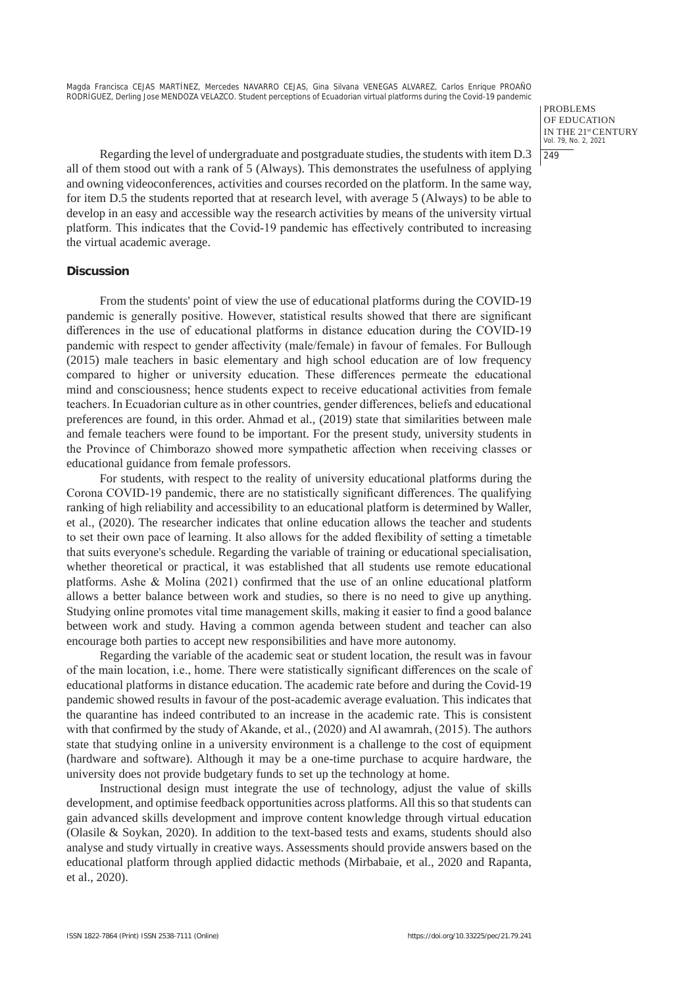> PROBLEMS OF EDUCATION IN THE 21st CENTURY Vol. 79, No. 2, 2021  $|249$

Regarding the level of undergraduate and postgraduate studies, the students with item D.3 all of them stood out with a rank of 5 (Always). This demonstrates the usefulness of applying and owning videoconferences, activities and courses recorded on the platform. In the same way, for item D.5 the students reported that at research level, with average 5 (Always) to be able to develop in an easy and accessible way the research activities by means of the university virtual platform. This indicates that the Covid-19 pandemic has effectively contributed to increasing the virtual academic average.

## **Discussion**

From the students' point of view the use of educational platforms during the COVID-19 pandemic is generally positive. However, statistical results showed that there are significant differences in the use of educational platforms in distance education during the COVID-19 pandemic with respect to gender affectivity (male/female) in favour of females. For Bullough (2015) male teachers in basic elementary and high school education are of low frequency compared to higher or university education. These differences permeate the educational mind and consciousness; hence students expect to receive educational activities from female teachers. In Ecuadorian culture as in other countries, gender differences, beliefs and educational preferences are found, in this order. Ahmad et al., (2019) state that similarities between male and female teachers were found to be important. For the present study, university students in the Province of Chimborazo showed more sympathetic affection when receiving classes or educational guidance from female professors.

For students, with respect to the reality of university educational platforms during the Corona COVID-19 pandemic, there are no statistically significant differences. The qualifying ranking of high reliability and accessibility to an educational platform is determined by Waller, et al., (2020). The researcher indicates that online education allows the teacher and students to set their own pace of learning. It also allows for the added flexibility of setting a timetable that suits everyone's schedule. Regarding the variable of training or educational specialisation, whether theoretical or practical, it was established that all students use remote educational platforms. Ashe & Molina (2021) confirmed that the use of an online educational platform allows a better balance between work and studies, so there is no need to give up anything. Studying online promotes vital time management skills, making it easier to find a good balance between work and study. Having a common agenda between student and teacher can also encourage both parties to accept new responsibilities and have more autonomy.

Regarding the variable of the academic seat or student location, the result was in favour of the main location, i.e., home. There were statistically significant differences on the scale of educational platforms in distance education. The academic rate before and during the Covid-19 pandemic showed results in favour of the post-academic average evaluation. This indicates that the quarantine has indeed contributed to an increase in the academic rate. This is consistent with that confirmed by the study of Akande, et al., (2020) and Al awamrah, (2015). The authors state that studying online in a university environment is a challenge to the cost of equipment (hardware and software). Although it may be a one-time purchase to acquire hardware, the university does not provide budgetary funds to set up the technology at home.

Instructional design must integrate the use of technology, adjust the value of skills development, and optimise feedback opportunities across platforms. All this so that students can gain advanced skills development and improve content knowledge through virtual education (Olasile & Soykan, 2020). In addition to the text-based tests and exams, students should also analyse and study virtually in creative ways. Assessments should provide answers based on the educational platform through applied didactic methods (Mirbabaie, et al., 2020 and Rapanta, et al., 2020).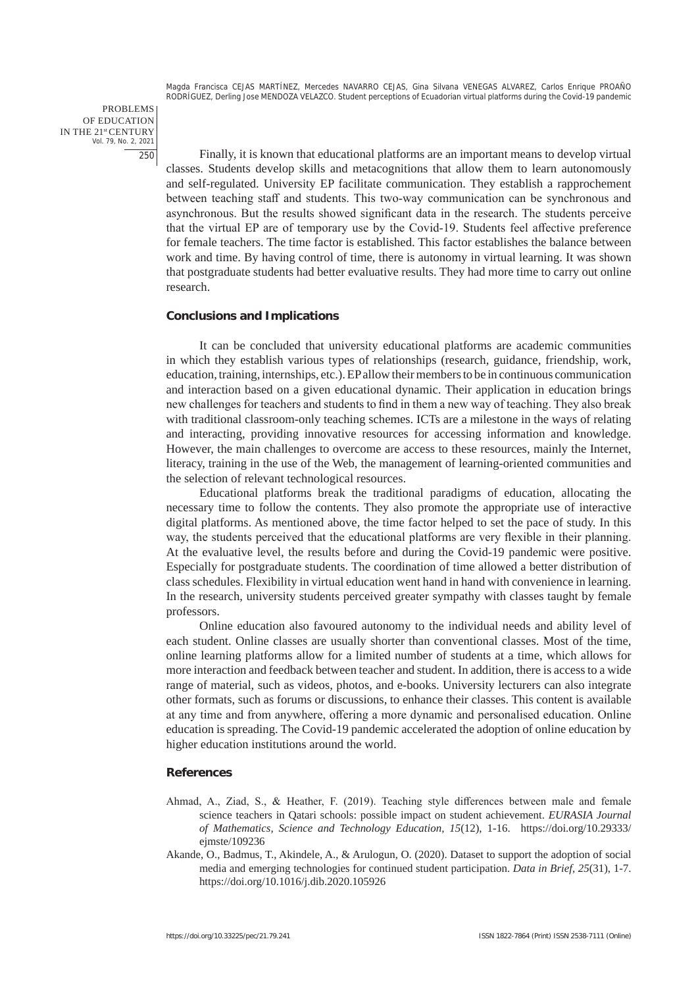PROBLEMS OF EDUCATION IN THE 21st CENTURY Vol. 79, No. 2, 2021 250

Finally, it is known that educational platforms are an important means to develop virtual classes. Students develop skills and metacognitions that allow them to learn autonomously and self-regulated. University EP facilitate communication. They establish a rapprochement between teaching staff and students. This two-way communication can be synchronous and asynchronous. But the results showed significant data in the research. The students perceive that the virtual EP are of temporary use by the Covid-19. Students feel affective preference for female teachers. The time factor is established. This factor establishes the balance between work and time. By having control of time, there is autonomy in virtual learning. It was shown that postgraduate students had better evaluative results. They had more time to carry out online research.

## **Conclusions and Implications**

It can be concluded that university educational platforms are academic communities in which they establish various types of relationships (research, guidance, friendship, work, education, training, internships, etc.). EP allow their members to be in continuous communication and interaction based on a given educational dynamic. Their application in education brings new challenges for teachers and students to find in them a new way of teaching. They also break with traditional classroom-only teaching schemes. ICTs are a milestone in the ways of relating and interacting, providing innovative resources for accessing information and knowledge. However, the main challenges to overcome are access to these resources, mainly the Internet, literacy, training in the use of the Web, the management of learning-oriented communities and the selection of relevant technological resources.

Educational platforms break the traditional paradigms of education, allocating the necessary time to follow the contents. They also promote the appropriate use of interactive digital platforms. As mentioned above, the time factor helped to set the pace of study. In this way, the students perceived that the educational platforms are very flexible in their planning. At the evaluative level, the results before and during the Covid-19 pandemic were positive. Especially for postgraduate students. The coordination of time allowed a better distribution of class schedules. Flexibility in virtual education went hand in hand with convenience in learning. In the research, university students perceived greater sympathy with classes taught by female professors.

Online education also favoured autonomy to the individual needs and ability level of each student. Online classes are usually shorter than conventional classes. Most of the time, online learning platforms allow for a limited number of students at a time, which allows for more interaction and feedback between teacher and student. In addition, there is access to a wide range of material, such as videos, photos, and e-books. University lecturers can also integrate other formats, such as forums or discussions, to enhance their classes. This content is available at any time and from anywhere, offering a more dynamic and personalised education. Online education is spreading. The Covid-19 pandemic accelerated the adoption of online education by higher education institutions around the world.

#### **References**

- Ahmad, A., Ziad, S., & Heather, F. (2019). Teaching style differences between male and female science teachers in Qatari schools: possible impact on student achievement. *EURASIA Journal of Mathematics, Science and Technology Education, 15*(12), 1-16. https://doi.org/10.29333/ ejmste/109236
- Akande, O., Badmus, T., Akindele, A., & Arulogun, O. (2020). Dataset to support the adoption of social media and emerging technologies for continued student participation. *Data in Brief, 25*(31), 1-7. https://doi.org/10.1016/j.dib.2020.105926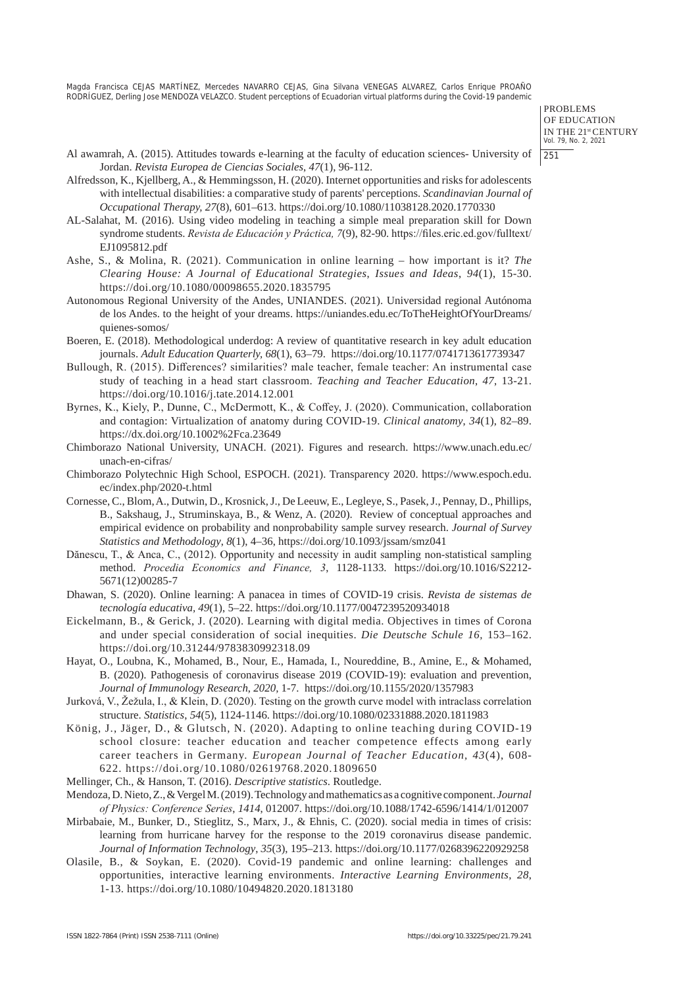> PROBLEMS OF EDUCATION IN THE 21st CENTURY Vol. 79, No. 2, 2021 251

- Al awamrah, A. (2015). Attitudes towards e-learning at the faculty of education sciences- University of Jordan. *Revista Europea de Ciencias Sociales*, *47*(1), 96-112.
- Alfredsson, K., Kjellberg, A., & Hemmingsson, H. (2020). Internet opportunities and risks for adolescents with intellectual disabilities: a comparative study of parents' perceptions. *Scandinavian Journal of Occupational Therapy, 27*(8), 601–613. https://doi.org/10.1080/11038128.2020.1770330
- AL-Salahat, M. (2016). Using video modeling in teaching a simple meal preparation skill for Down syndrome students. *Revista de Educación y Práctica, 7*(9), 82-90. https://files.eric.ed.gov/fulltext/ EJ1095812.pdf
- Ashe, S., & Molina, R. (2021). Communication in online learning how important is it? *The Clearing House: A Journal of Educational Strategies*, *Issues and Ideas*, *94*(1), 15-30. https://doi.org/10.1080/00098655.2020.1835795
- Autonomous Regional University of the Andes, UNIANDES. (2021). Universidad regional Autónoma de los Andes. to the height of your dreams. https://uniandes.edu.ec/ToTheHeightOfYourDreams/ quienes-somos/
- Boeren, E. (2018). Methodological underdog: A review of quantitative research in key adult education journals. *Adult Education Quarterly, 68*(1), 63–79. https://doi.org/10.1177/0741713617739347
- Bullough, R. (2015). Differences? similarities? male teacher, female teacher: An instrumental case study of teaching in a head start classroom. *Teaching and Teacher Education*, *47*, 13-21. https://doi.org/10.1016/j.tate.2014.12.001
- Byrnes, K., Kiely, P., Dunne, C., McDermott, K., & Coffey, J. (2020). Communication, collaboration and contagion: Virtualization of anatomy during COVID-19. *Clinical anatomy*, *34*(1), 82–89. https://dx.doi.org/10.1002%2Fca.23649
- Chimborazo National University, UNACH. (2021). Figures and research. https://www.unach.edu.ec/ unach-en-cifras/
- Chimborazo Polytechnic High School, ESPOCH. (2021). Transparency 2020. https://www.espoch.edu. ec/index.php/2020-t.html
- Cornesse, C., Blom, A., Dutwin, D., Krosnick, J., De Leeuw, E., Legleye, S., Pasek, J., Pennay, D., Phillips, B., Sakshaug, J., Struminskaya, B., & Wenz, A. (2020). Review of conceptual approaches and empirical evidence on probability and nonprobability sample survey research. *Journal of Survey Statistics and Methodology*, *8*(1), 4–36, https://doi.org/10.1093/jssam/smz041
- Dănescu, T., & Anca, C., (2012). Opportunity and necessity in audit sampling non-statistical sampling method. *Procedia Economics and Finance, 3*, 1128-1133. https://doi.org/10.1016/S2212- 5671(12)00285-7
- Dhawan, S. (2020). Online learning: A panacea in times of COVID-19 crisis. *Revista de sistemas de tecnología educativa, 49*(1), 5–22. https://doi.org/10.1177/0047239520934018
- Eickelmann, B., & Gerick, J. (2020). Learning with digital media. Objectives in times of Corona and under special consideration of social inequities. *Die Deutsche Schule 16,* 153–162. https://doi.org/10.31244/9783830992318.09
- Hayat, O., Loubna, K., Mohamed, B., Nour, E., Hamada, I., Noureddine, B., Amine, E., & Mohamed, B. (2020). Pathogenesis of coronavirus disease 2019 (COVID-19): evaluation and prevention, *Journal of Immunology Research*, *2020,* 1-7. https://doi.org/10.1155/2020/1357983
- Jurková, V., Žežula, I., & Klein, D. (2020). Testing on the growth curve model with intraclass correlation structure. *Statistics*, *54*(5), 1124-1146. https://doi.org/10.1080/02331888.2020.1811983
- König, J., Jäger, D., & Glutsch, N. (2020). Adapting to online teaching during COVID-19 school closure: teacher education and teacher competence effects among early career teachers in Germany. *European Journal of Teacher Education, 43*(4), 608- 622. https://doi.org/10.1080/02619768.2020.1809650
- Mellinger, Ch., & Hanson, T. (2016). *Descriptive statistics*. Routledge.
- Mendoza, D. Nieto, Z., & Vergel M. (2019). Technology and mathematics as a cognitive component. *Journal of Physics: Conference Series*, *1414*, 012007. https://doi.org/10.1088/1742-6596/1414/1/012007
- Mirbabaie, M., Bunker, D., Stieglitz, S., Marx, J., & Ehnis, C. (2020). social media in times of crisis: learning from hurricane harvey for the response to the 2019 coronavirus disease pandemic. *Journal of Information Technology*, *35*(3), 195–213. https://doi.org/10.1177/0268396220929258
- Olasile, B., & Soykan, E. (2020). Covid-19 pandemic and online learning: challenges and opportunities, interactive learning environments. *Interactive Learning Environments, 28*, 1-13. https://doi.org/10.1080/10494820.2020.1813180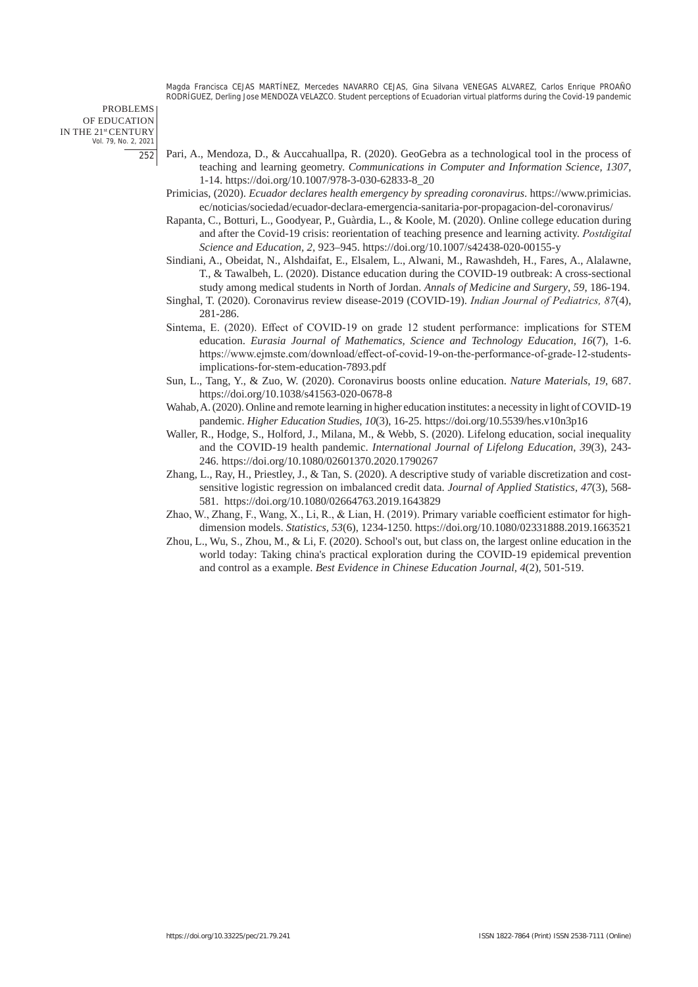PROBLEMS OF EDUCATION IN THE 21st CENTURY Vol. 79, No. 2, 2021 252

- Pari, A., Mendoza, D., & Auccahuallpa, R. (2020). GeoGebra as a technological tool in the process of teaching and learning geometry. *Communications in Computer and Information Science, 1307,*  1-14. https://doi.org/10.1007/978-3-030-62833-8\_20
- Primicias, (2020). *Ecuador declares health emergency by spreading coronavirus*. https://www.primicias. ec/noticias/sociedad/ecuador-declara-emergencia-sanitaria-por-propagacion-del-coronavirus/
- Rapanta, C., Botturi, L., Goodyear, P., Guàrdia, L., & Koole, M. (2020). Online college education during and after the Covid-19 crisis: reorientation of teaching presence and learning activity. *Postdigital Science and Education, 2,* 923–945. https://doi.org/10.1007/s42438-020-00155-y
- Sindiani, A., Obeidat, N., Alshdaifat, E., Elsalem, L., Alwani, M., Rawashdeh, H., Fares, A., Alalawne, T., & Tawalbeh, L. (2020). Distance education during the COVID-19 outbreak: A cross-sectional study among medical students in North of Jordan. *Annals of Medicine and Surgery*, *59*, 186-194.
- Singhal, T. (2020). Coronavirus review disease-2019 (COVID-19). *Indian Journal of Pediatrics, 87*(4), 281-286.
- Sintema, E. (2020). Effect of COVID-19 on grade 12 student performance: implications for STEM education. *Eurasia Journal of Mathematics, Science and Technology Education, 16*(7), 1-6. https://www.ejmste.com/download/effect-of-covid-19-on-the-performance-of-grade-12-studentsimplications-for-stem-education-7893.pdf
- Sun, L., Tang, Y., & Zuo, W. (2020). Coronavirus boosts online education. *Nature Materials, 19*, 687. https://doi.org/10.1038/s41563-020-0678-8
- Wahab, A. (2020). Online and remote learning in higher education institutes: a necessity in light of COVID-19 pandemic. *Higher Education Studies*, *10*(3), 16-25. https://doi.org/10.5539/hes.v10n3p16
- Waller, R., Hodge, S., Holford, J., Milana, M., & Webb, S. (2020). Lifelong education, social inequality and the COVID-19 health pandemic. *International Journal of Lifelong Education*, *39*(3), 243- 246. https://doi.org/10.1080/02601370.2020.1790267
- Zhang, L., Ray, H., Priestley, J., & Tan, S. (2020). A descriptive study of variable discretization and costsensitive logistic regression on imbalanced credit data. *Journal of Applied Statistics, 47*(3), 568- 581. https://doi.org/10.1080/02664763.2019.1643829
- Zhao, W., Zhang, F., Wang, X., Li, R., & Lian, H. (2019). Primary variable coefficient estimator for highdimension models. *Statistics, 53*(6), 1234-1250. https://doi.org/10.1080/02331888.2019.1663521
- Zhou, L., Wu, S., Zhou, M., & Li, F. (2020). School's out, but class on, the largest online education in the world today: Taking china's practical exploration during the COVID-19 epidemical prevention and control as a example. *Best Evidence in Chinese Education Journal*, *4*(2), 501-519.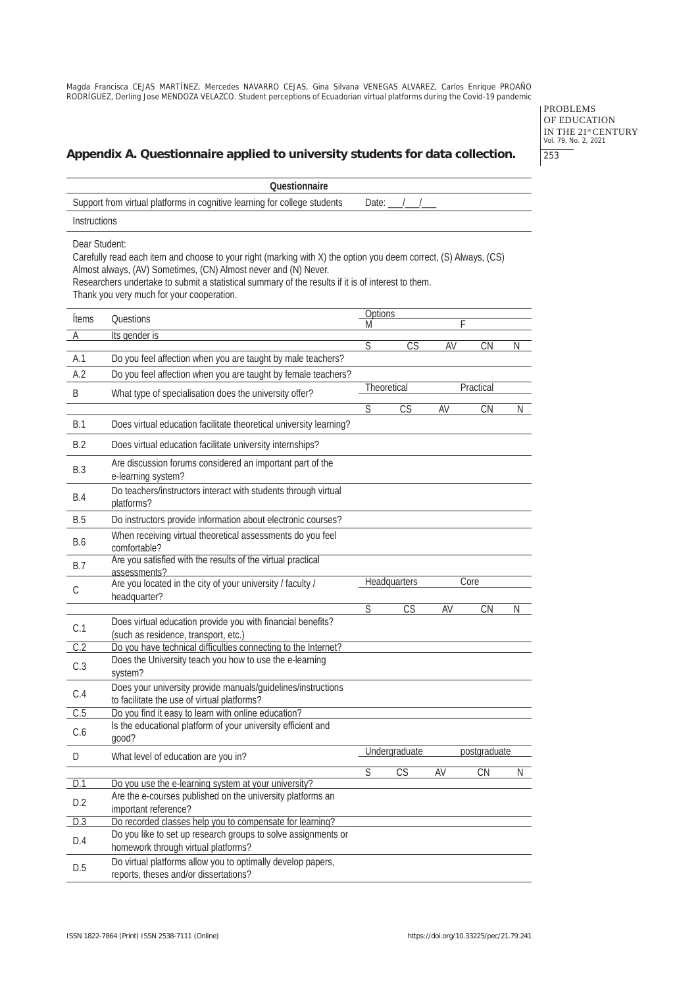PROBLEMS OF EDUCATION IN THE 21<sup>st</sup> CENTURY<br>Vol. 79, No. 2, 2021 253

# **Appendix A. Questionnaire applied to university students for data collection.**

|               | Questionnaire                                                                                                                                                                                                                                                                                                                          |                         |                        |    |                        |    |
|---------------|----------------------------------------------------------------------------------------------------------------------------------------------------------------------------------------------------------------------------------------------------------------------------------------------------------------------------------------|-------------------------|------------------------|----|------------------------|----|
|               | Support from virtual platforms in cognitive learning for college students                                                                                                                                                                                                                                                              | Date:                   |                        |    |                        |    |
| Instructions  |                                                                                                                                                                                                                                                                                                                                        |                         |                        |    |                        |    |
| Dear Student: | Carefully read each item and choose to your right (marking with X) the option you deem correct, (S) Always, (CS)<br>Almost always, (AV) Sometimes, (CN) Almost never and (N) Never.<br>Researchers undertake to submit a statistical summary of the results if it is of interest to them.<br>Thank you very much for your cooperation. |                         |                        |    |                        |    |
| <b>Ítems</b>  | Questions                                                                                                                                                                                                                                                                                                                              | Options<br>Μ            |                        | F  |                        |    |
| Α             | Its gender is                                                                                                                                                                                                                                                                                                                          |                         |                        |    |                        |    |
|               |                                                                                                                                                                                                                                                                                                                                        | $\overline{\mathsf{S}}$ | CS                     | AV | CN                     | N  |
| A.1<br>A.2    | Do you feel affection when you are taught by male teachers?<br>Do you feel affection when you are taught by female teachers?                                                                                                                                                                                                           |                         |                        |    |                        |    |
|               |                                                                                                                                                                                                                                                                                                                                        |                         | Theoretical            |    | Practical              |    |
| Β             | What type of specialisation does the university offer?                                                                                                                                                                                                                                                                                 | $\overline{\mathsf{S}}$ | $\overline{\text{CS}}$ | AV | $\overline{\text{CN}}$ | N. |
| B.1           | Does virtual education facilitate theoretical university learning?                                                                                                                                                                                                                                                                     |                         |                        |    |                        |    |
| B.2           | Does virtual education facilitate university internships?                                                                                                                                                                                                                                                                              |                         |                        |    |                        |    |
| <b>B.3</b>    | Are discussion forums considered an important part of the<br>e-learning system?                                                                                                                                                                                                                                                        |                         |                        |    |                        |    |
| <b>B.4</b>    | Do teachers/instructors interact with students through virtual<br>platforms?                                                                                                                                                                                                                                                           |                         |                        |    |                        |    |
| <b>B.5</b>    | Do instructors provide information about electronic courses?                                                                                                                                                                                                                                                                           |                         |                        |    |                        |    |
| B.6           | When receiving virtual theoretical assessments do you feel<br>comfortable?                                                                                                                                                                                                                                                             |                         |                        |    |                        |    |
| <b>B.7</b>    | Are you satisfied with the results of the virtual practical<br>assessments?                                                                                                                                                                                                                                                            |                         |                        |    |                        |    |
| C             | Are you located in the city of your university / faculty /<br>headquarter?                                                                                                                                                                                                                                                             |                         | <b>Headquarters</b>    |    | Core                   |    |
|               |                                                                                                                                                                                                                                                                                                                                        | $\overline{\mathsf{S}}$ | CS                     | AV | <b>CN</b>              | Ν  |
| C.1           | Does virtual education provide you with financial benefits?<br>(such as residence, transport, etc.)                                                                                                                                                                                                                                    |                         |                        |    |                        |    |
| C.2           | Do you have technical difficulties connecting to the Internet?                                                                                                                                                                                                                                                                         |                         |                        |    |                        |    |
| C.3           | Does the University teach you how to use the e-learning<br>system?                                                                                                                                                                                                                                                                     |                         |                        |    |                        |    |
| C.4           | Does your university provide manuals/guidelines/instructions<br>to facilitate the use of virtual platforms?                                                                                                                                                                                                                            |                         |                        |    |                        |    |
| C.5           | Do you find it easy to learn with online education?                                                                                                                                                                                                                                                                                    |                         |                        |    |                        |    |
| C.6           | Is the educational platform of your university efficient and<br>good?                                                                                                                                                                                                                                                                  |                         |                        |    |                        |    |
| D             | What level of education are you in?                                                                                                                                                                                                                                                                                                    |                         | Undergraduate          |    | postgraduate           |    |
| D.1           | Do you use the e-learning system at your university?                                                                                                                                                                                                                                                                                   | $\overline{S}$          | CS                     | AV | <b>CN</b>              | N  |
| D.2           | Are the e-courses published on the university platforms an<br>important reference?                                                                                                                                                                                                                                                     |                         |                        |    |                        |    |
| D.3           | Do recorded classes help you to compensate for learning?                                                                                                                                                                                                                                                                               |                         |                        |    |                        |    |
| D.4           | Do you like to set up research groups to solve assignments or<br>homework through virtual platforms?                                                                                                                                                                                                                                   |                         |                        |    |                        |    |
| D.5           | Do virtual platforms allow you to optimally develop papers,<br>reports, theses and/or dissertations?                                                                                                                                                                                                                                   |                         |                        |    |                        |    |